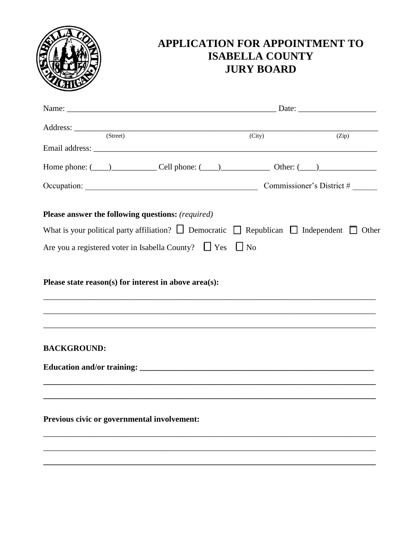

# APPLICATION FOR APPOINTMENT TO **ISABELLA COUNTY JURY BOARD**

|                                                                                                                                            | (City) | (Zip) |
|--------------------------------------------------------------------------------------------------------------------------------------------|--------|-------|
|                                                                                                                                            |        |       |
| Home phone: $(\_\_)$ Cell phone: $(\_\_)$ Other: $(\_\_)$                                                                                  |        |       |
|                                                                                                                                            |        |       |
| Please answer the following questions: (required)                                                                                          |        |       |
| What is your political party affiliation? $\Box$ Democratic $\Box$ Republican $\Box$ Independent $\Box$ Other                              |        |       |
| Are you a registered voter in Isabella County? $\Box$ Yes $\Box$ No                                                                        |        |       |
| Please state reason(s) for interest in above area(s):<br>,我们也不能在这里的时候,我们也不能在这里的时候,我们也不能会在这里的时候,我们也不能会在这里的时候,我们也不能会在这里的时候,我们也不能会在这里的时候,我们也不 |        |       |
| <b>BACKGROUND:</b>                                                                                                                         |        |       |
|                                                                                                                                            |        |       |
|                                                                                                                                            |        |       |
| Previous civic or governmental involvement:                                                                                                |        |       |
|                                                                                                                                            |        |       |